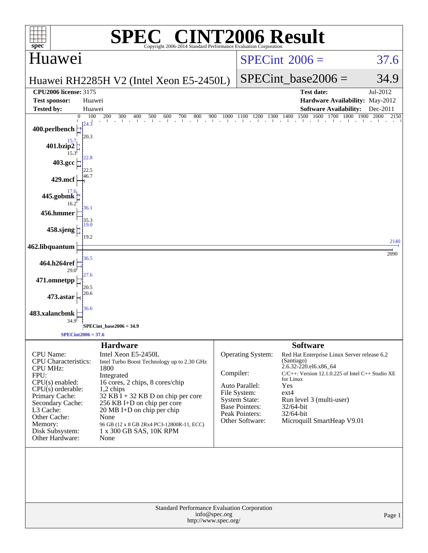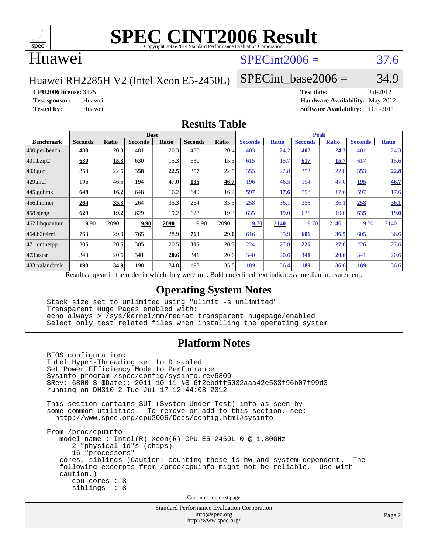

### Huawei

## $SPECint2006 = 37.6$  $SPECint2006 = 37.6$

Huawei RH2285H V2 (Intel Xeon E5-2450L)

SPECint base2006 =  $34.9$ 

**[CPU2006 license:](http://www.spec.org/auto/cpu2006/Docs/result-fields.html#CPU2006license)** 3175 **[Test date:](http://www.spec.org/auto/cpu2006/Docs/result-fields.html#Testdate)** Jul-2012

**[Test sponsor:](http://www.spec.org/auto/cpu2006/Docs/result-fields.html#Testsponsor)** Huawei **[Hardware Availability:](http://www.spec.org/auto/cpu2006/Docs/result-fields.html#HardwareAvailability)** May-2012 **[Tested by:](http://www.spec.org/auto/cpu2006/Docs/result-fields.html#Testedby)** Huawei **[Software Availability:](http://www.spec.org/auto/cpu2006/Docs/result-fields.html#SoftwareAvailability)** Dec-2011

### **[Results Table](http://www.spec.org/auto/cpu2006/Docs/result-fields.html#ResultsTable)**

|                         | <b>Base</b>    |              |                                                    |                                                     |                |       | <b>Peak</b>    |              |                |              |                |              |
|-------------------------|----------------|--------------|----------------------------------------------------|-----------------------------------------------------|----------------|-------|----------------|--------------|----------------|--------------|----------------|--------------|
| <b>Benchmark</b>        | <b>Seconds</b> | <b>Ratio</b> | <b>Seconds</b>                                     | Ratio                                               | <b>Seconds</b> | Ratio | <b>Seconds</b> | <b>Ratio</b> | <b>Seconds</b> | <b>Ratio</b> | <b>Seconds</b> | <b>Ratio</b> |
| $ 400.\text{perlbench}$ | 480            | 20.3         | 481                                                | 20.3                                                | 480            | 20.4  | 403            | 24.2         | 402            | 24.3         | 401            | 24.3         |
| 401.bzip2               | 630            | 15.3         | 630                                                | 15.3                                                | 630            | 15.3  | 615            | 15.7         | 617            | 15.7         | 617            | 15.6         |
| $403.\mathrm{gcc}$      | 358            | 22.5         | 358                                                | 22.5                                                | 357            | 22.5  | 353            | 22.8         | 353            | 22.8         | 353            | 22.8         |
| $429$ .mcf              | 196            | 46.5         | 194                                                | 47.0                                                | 195            | 46.7  | 196            | 46.5         | 194            | 47.0         | 195            | 46.7         |
| $445$ .gobmk            | 648            | 16.2         | 648                                                | 16.2                                                | 649            | 16.2  | 597            | 17.6         | 598            | 17.6         | 597            | 17.6         |
| $456.$ hmmer            | 264            | 35.3         | 264                                                | 35.3                                                | 264            | 35.3  | 258            | 36.1         | 258            | 36.1         | 258            | <u>36.1</u>  |
| $458$ .sjeng            | 629            | 19.2         | 629                                                | 19.2                                                | 628            | 19.3  | 635            | 19.0         | 636            | 19.0         | 635            | <b>19.0</b>  |
| 462.libquantum          | 9.90           | 2090         | 9.90                                               | 2090                                                | 9.90           | 2090  | 9.70           | 2140         | 9.70           | 2140         | 9.70           | 2140         |
| 464.h264ref             | 763            | 29.0         | 765                                                | 28.9                                                | 763            | 29.0  | 616            | 35.9         | 606            | 36.5         | 605            | 36.6         |
| 471.omnetpp             | 305            | 20.5         | 305                                                | 20.5                                                | 305            | 20.5  | 224            | 27.8         | 226            | 27.6         | 226            | 27.6         |
| $473$ . astar           | 340            | 20.6         | 341                                                | 20.6                                                | 341            | 20.6  | 340            | 20.6         | 341            | 20.6         | 341            | 20.6         |
| 483.xalancbmk           | 198            | 34.9         | 198                                                | 34.8                                                | 193            | 35.8  | 189            | 36.4         | 189            | 36.6         | 189            | 36.6         |
|                         |                |              | Decute conceal in the order in which they were mun | Dold underlined text indicates a madien massurement |                |       |                |              |                |              |                |              |

Results appear in the [order in which they were run.](http://www.spec.org/auto/cpu2006/Docs/result-fields.html#RunOrder) Bold underlined text [indicates a median measurement.](http://www.spec.org/auto/cpu2006/Docs/result-fields.html#Median)

### **[Operating System Notes](http://www.spec.org/auto/cpu2006/Docs/result-fields.html#OperatingSystemNotes)**

 Stack size set to unlimited using "ulimit -s unlimited" Transparent Huge Pages enabled with: echo always > /sys/kernel/mm/redhat\_transparent\_hugepage/enabled Select only test related files when installing the operating system

### **[Platform Notes](http://www.spec.org/auto/cpu2006/Docs/result-fields.html#PlatformNotes)**

 BIOS configuration: Intel Hyper-Threading set to Disabled Set Power Efficiency Mode to Performance Sysinfo program /spec/config/sysinfo.rev6800 \$Rev: 6800 \$ \$Date:: 2011-10-11 #\$ 6f2ebdff5032aaa42e583f96b07f99d3 running on DH310-2 Tue Jul 17 12:44:08 2012 This section contains SUT (System Under Test) info as seen by some common utilities. To remove or add to this section, see: <http://www.spec.org/cpu2006/Docs/config.html#sysinfo> From /proc/cpuinfo model name : Intel(R) Xeon(R) CPU E5-2450L 0 @ 1.80GHz 2 "physical id"s (chips) 16 "processors" cores, siblings (Caution: counting these is hw and system dependent. The following excerpts from /proc/cpuinfo might not be reliable. Use with caution.) cpu cores : 8 siblings : 8 Continued on next page

> Standard Performance Evaluation Corporation [info@spec.org](mailto:info@spec.org) <http://www.spec.org/>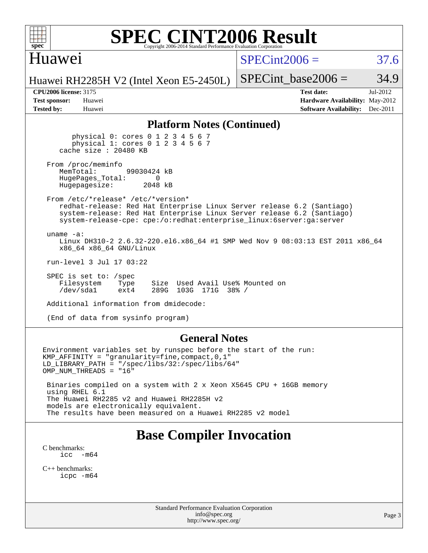

### Huawei

 $SPECint2006 = 37.6$  $SPECint2006 = 37.6$ 

Huawei RH2285H V2 (Intel Xeon E5-2450L)

**[Tested by:](http://www.spec.org/auto/cpu2006/Docs/result-fields.html#Testedby)** Huawei **[Software Availability:](http://www.spec.org/auto/cpu2006/Docs/result-fields.html#SoftwareAvailability)** Dec-2011

SPECint base2006 =  $34.9$ 

**[CPU2006 license:](http://www.spec.org/auto/cpu2006/Docs/result-fields.html#CPU2006license)** 3175 **[Test date:](http://www.spec.org/auto/cpu2006/Docs/result-fields.html#Testdate)** Jul-2012 **[Test sponsor:](http://www.spec.org/auto/cpu2006/Docs/result-fields.html#Testsponsor)** Huawei **[Hardware Availability:](http://www.spec.org/auto/cpu2006/Docs/result-fields.html#HardwareAvailability)** May-2012

### **[Platform Notes \(Continued\)](http://www.spec.org/auto/cpu2006/Docs/result-fields.html#PlatformNotes)**

 physical 0: cores 0 1 2 3 4 5 6 7 physical 1: cores 0 1 2 3 4 5 6 7 cache size : 20480 KB

From /proc/meminfo<br>MemTotal: 99030424 kB HugePages\_Total: 0<br>Hugepagesize: 2048 kB Hugepagesize:

 From /etc/\*release\* /etc/\*version\* redhat-release: Red Hat Enterprise Linux Server release 6.2 (Santiago) system-release: Red Hat Enterprise Linux Server release 6.2 (Santiago) system-release-cpe: cpe:/o:redhat:enterprise\_linux:6server:ga:server

uname -a:

 Linux DH310-2 2.6.32-220.el6.x86\_64 #1 SMP Wed Nov 9 08:03:13 EST 2011 x86\_64 x86\_64 x86\_64 GNU/Linux

run-level 3 Jul 17 03:22

 SPEC is set to: /spec Filesystem Type Size Used Avail Use% Mounted on /dev/sda1 ext4 289G 103G 171G 38% /

Additional information from dmidecode:

(End of data from sysinfo program)

### **[General Notes](http://www.spec.org/auto/cpu2006/Docs/result-fields.html#GeneralNotes)**

Environment variables set by runspec before the start of the run: KMP\_AFFINITY = "granularity=fine,compact,0,1" LD\_LIBRARY\_PATH = "/spec/libs/32:/spec/libs/64" OMP\_NUM\_THREADS = "16"

 Binaries compiled on a system with 2 x Xeon X5645 CPU + 16GB memory using RHEL 6.1 The Huawei RH2285 v2 and Huawei RH2285H v2 models are electronically equivalent. The results have been measured on a Huawei RH2285 v2 model

# **[Base Compiler Invocation](http://www.spec.org/auto/cpu2006/Docs/result-fields.html#BaseCompilerInvocation)**

[C benchmarks](http://www.spec.org/auto/cpu2006/Docs/result-fields.html#Cbenchmarks): icc  $-m64$ 

[C++ benchmarks:](http://www.spec.org/auto/cpu2006/Docs/result-fields.html#CXXbenchmarks) [icpc -m64](http://www.spec.org/cpu2006/results/res2014q3/cpu2006-20140628-30067.flags.html#user_CXXbase_intel_icpc_64bit_fc66a5337ce925472a5c54ad6a0de310)

> Standard Performance Evaluation Corporation [info@spec.org](mailto:info@spec.org) <http://www.spec.org/>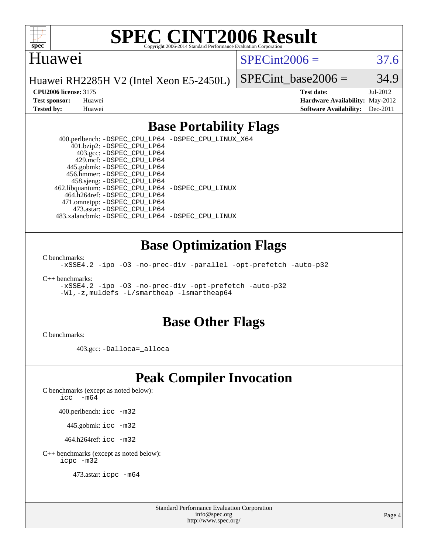

### Huawei

 $SPECint2006 = 37.6$  $SPECint2006 = 37.6$ 

Huawei RH2285H V2 (Intel Xeon E5-2450L)

SPECint base2006 =  $34.9$ 

**[CPU2006 license:](http://www.spec.org/auto/cpu2006/Docs/result-fields.html#CPU2006license)** 3175 **[Test date:](http://www.spec.org/auto/cpu2006/Docs/result-fields.html#Testdate)** Jul-2012 **[Test sponsor:](http://www.spec.org/auto/cpu2006/Docs/result-fields.html#Testsponsor)** Huawei **[Hardware Availability:](http://www.spec.org/auto/cpu2006/Docs/result-fields.html#HardwareAvailability)** May-2012 **[Tested by:](http://www.spec.org/auto/cpu2006/Docs/result-fields.html#Testedby)** Huawei **[Software Availability:](http://www.spec.org/auto/cpu2006/Docs/result-fields.html#SoftwareAvailability)** Dec-2011

### **[Base Portability Flags](http://www.spec.org/auto/cpu2006/Docs/result-fields.html#BasePortabilityFlags)**

 400.perlbench: [-DSPEC\\_CPU\\_LP64](http://www.spec.org/cpu2006/results/res2014q3/cpu2006-20140628-30067.flags.html#b400.perlbench_basePORTABILITY_DSPEC_CPU_LP64) [-DSPEC\\_CPU\\_LINUX\\_X64](http://www.spec.org/cpu2006/results/res2014q3/cpu2006-20140628-30067.flags.html#b400.perlbench_baseCPORTABILITY_DSPEC_CPU_LINUX_X64) 401.bzip2: [-DSPEC\\_CPU\\_LP64](http://www.spec.org/cpu2006/results/res2014q3/cpu2006-20140628-30067.flags.html#suite_basePORTABILITY401_bzip2_DSPEC_CPU_LP64) 403.gcc: [-DSPEC\\_CPU\\_LP64](http://www.spec.org/cpu2006/results/res2014q3/cpu2006-20140628-30067.flags.html#suite_basePORTABILITY403_gcc_DSPEC_CPU_LP64) 429.mcf: [-DSPEC\\_CPU\\_LP64](http://www.spec.org/cpu2006/results/res2014q3/cpu2006-20140628-30067.flags.html#suite_basePORTABILITY429_mcf_DSPEC_CPU_LP64) 445.gobmk: [-DSPEC\\_CPU\\_LP64](http://www.spec.org/cpu2006/results/res2014q3/cpu2006-20140628-30067.flags.html#suite_basePORTABILITY445_gobmk_DSPEC_CPU_LP64) 456.hmmer: [-DSPEC\\_CPU\\_LP64](http://www.spec.org/cpu2006/results/res2014q3/cpu2006-20140628-30067.flags.html#suite_basePORTABILITY456_hmmer_DSPEC_CPU_LP64) 458.sjeng: [-DSPEC\\_CPU\\_LP64](http://www.spec.org/cpu2006/results/res2014q3/cpu2006-20140628-30067.flags.html#suite_basePORTABILITY458_sjeng_DSPEC_CPU_LP64) 462.libquantum: [-DSPEC\\_CPU\\_LP64](http://www.spec.org/cpu2006/results/res2014q3/cpu2006-20140628-30067.flags.html#suite_basePORTABILITY462_libquantum_DSPEC_CPU_LP64) [-DSPEC\\_CPU\\_LINUX](http://www.spec.org/cpu2006/results/res2014q3/cpu2006-20140628-30067.flags.html#b462.libquantum_baseCPORTABILITY_DSPEC_CPU_LINUX) 464.h264ref: [-DSPEC\\_CPU\\_LP64](http://www.spec.org/cpu2006/results/res2014q3/cpu2006-20140628-30067.flags.html#suite_basePORTABILITY464_h264ref_DSPEC_CPU_LP64) 471.omnetpp: [-DSPEC\\_CPU\\_LP64](http://www.spec.org/cpu2006/results/res2014q3/cpu2006-20140628-30067.flags.html#suite_basePORTABILITY471_omnetpp_DSPEC_CPU_LP64) 473.astar: [-DSPEC\\_CPU\\_LP64](http://www.spec.org/cpu2006/results/res2014q3/cpu2006-20140628-30067.flags.html#suite_basePORTABILITY473_astar_DSPEC_CPU_LP64) 483.xalancbmk: [-DSPEC\\_CPU\\_LP64](http://www.spec.org/cpu2006/results/res2014q3/cpu2006-20140628-30067.flags.html#suite_basePORTABILITY483_xalancbmk_DSPEC_CPU_LP64) [-DSPEC\\_CPU\\_LINUX](http://www.spec.org/cpu2006/results/res2014q3/cpu2006-20140628-30067.flags.html#b483.xalancbmk_baseCXXPORTABILITY_DSPEC_CPU_LINUX)

### **[Base Optimization Flags](http://www.spec.org/auto/cpu2006/Docs/result-fields.html#BaseOptimizationFlags)**

[C benchmarks](http://www.spec.org/auto/cpu2006/Docs/result-fields.html#Cbenchmarks):

[-xSSE4.2](http://www.spec.org/cpu2006/results/res2014q3/cpu2006-20140628-30067.flags.html#user_CCbase_f-xSSE42_f91528193cf0b216347adb8b939d4107) [-ipo](http://www.spec.org/cpu2006/results/res2014q3/cpu2006-20140628-30067.flags.html#user_CCbase_f-ipo) [-O3](http://www.spec.org/cpu2006/results/res2014q3/cpu2006-20140628-30067.flags.html#user_CCbase_f-O3) [-no-prec-div](http://www.spec.org/cpu2006/results/res2014q3/cpu2006-20140628-30067.flags.html#user_CCbase_f-no-prec-div) [-parallel](http://www.spec.org/cpu2006/results/res2014q3/cpu2006-20140628-30067.flags.html#user_CCbase_f-parallel) [-opt-prefetch](http://www.spec.org/cpu2006/results/res2014q3/cpu2006-20140628-30067.flags.html#user_CCbase_f-opt-prefetch) [-auto-p32](http://www.spec.org/cpu2006/results/res2014q3/cpu2006-20140628-30067.flags.html#user_CCbase_f-auto-p32)

[C++ benchmarks:](http://www.spec.org/auto/cpu2006/Docs/result-fields.html#CXXbenchmarks)

[-xSSE4.2](http://www.spec.org/cpu2006/results/res2014q3/cpu2006-20140628-30067.flags.html#user_CXXbase_f-xSSE42_f91528193cf0b216347adb8b939d4107) [-ipo](http://www.spec.org/cpu2006/results/res2014q3/cpu2006-20140628-30067.flags.html#user_CXXbase_f-ipo) [-O3](http://www.spec.org/cpu2006/results/res2014q3/cpu2006-20140628-30067.flags.html#user_CXXbase_f-O3) [-no-prec-div](http://www.spec.org/cpu2006/results/res2014q3/cpu2006-20140628-30067.flags.html#user_CXXbase_f-no-prec-div) [-opt-prefetch](http://www.spec.org/cpu2006/results/res2014q3/cpu2006-20140628-30067.flags.html#user_CXXbase_f-opt-prefetch) [-auto-p32](http://www.spec.org/cpu2006/results/res2014q3/cpu2006-20140628-30067.flags.html#user_CXXbase_f-auto-p32) [-Wl,-z,muldefs](http://www.spec.org/cpu2006/results/res2014q3/cpu2006-20140628-30067.flags.html#user_CXXbase_link_force_multiple1_74079c344b956b9658436fd1b6dd3a8a) [-L/smartheap -lsmartheap64](http://www.spec.org/cpu2006/results/res2014q3/cpu2006-20140628-30067.flags.html#user_CXXbase_SmartHeap64_5e654037dadeae1fe403ab4b4466e60b)

### **[Base Other Flags](http://www.spec.org/auto/cpu2006/Docs/result-fields.html#BaseOtherFlags)**

[C benchmarks](http://www.spec.org/auto/cpu2006/Docs/result-fields.html#Cbenchmarks):

403.gcc: [-Dalloca=\\_alloca](http://www.spec.org/cpu2006/results/res2014q3/cpu2006-20140628-30067.flags.html#b403.gcc_baseEXTRA_CFLAGS_Dalloca_be3056838c12de2578596ca5467af7f3)

## **[Peak Compiler Invocation](http://www.spec.org/auto/cpu2006/Docs/result-fields.html#PeakCompilerInvocation)**

[C benchmarks \(except as noted below\)](http://www.spec.org/auto/cpu2006/Docs/result-fields.html#Cbenchmarksexceptasnotedbelow):

icc  $-m64$ 

400.perlbench: [icc -m32](http://www.spec.org/cpu2006/results/res2014q3/cpu2006-20140628-30067.flags.html#user_peakCCLD400_perlbench_intel_icc_a6a621f8d50482236b970c6ac5f55f93)

445.gobmk: [icc -m32](http://www.spec.org/cpu2006/results/res2014q3/cpu2006-20140628-30067.flags.html#user_peakCCLD445_gobmk_intel_icc_a6a621f8d50482236b970c6ac5f55f93)

464.h264ref: [icc -m32](http://www.spec.org/cpu2006/results/res2014q3/cpu2006-20140628-30067.flags.html#user_peakCCLD464_h264ref_intel_icc_a6a621f8d50482236b970c6ac5f55f93)

[C++ benchmarks \(except as noted below\):](http://www.spec.org/auto/cpu2006/Docs/result-fields.html#CXXbenchmarksexceptasnotedbelow) [icpc -m32](http://www.spec.org/cpu2006/results/res2014q3/cpu2006-20140628-30067.flags.html#user_CXXpeak_intel_icpc_4e5a5ef1a53fd332b3c49e69c3330699)

473.astar: [icpc -m64](http://www.spec.org/cpu2006/results/res2014q3/cpu2006-20140628-30067.flags.html#user_peakCXXLD473_astar_intel_icpc_64bit_fc66a5337ce925472a5c54ad6a0de310)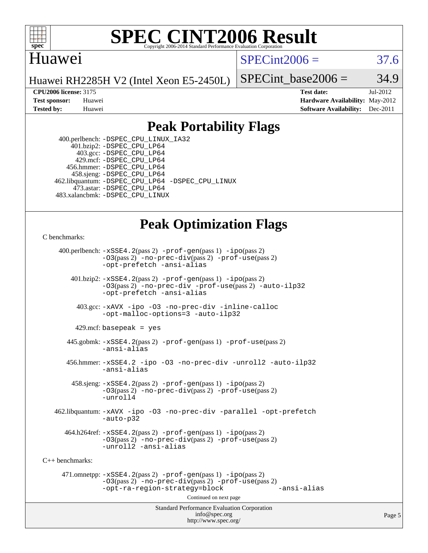

### **[SPEC CINT2006 Result](http://www.spec.org/auto/cpu2006/Docs/result-fields.html#SPECCINT2006Result)** Copyright 2006-2014 Standard Performance Evaluation C

### Huawei

 $SPECint2006 = 37.6$  $SPECint2006 = 37.6$ 

Huawei RH2285H V2 (Intel Xeon E5-2450L)

SPECint base2006 =  $34.9$ 

**[CPU2006 license:](http://www.spec.org/auto/cpu2006/Docs/result-fields.html#CPU2006license)** 3175 **[Test date:](http://www.spec.org/auto/cpu2006/Docs/result-fields.html#Testdate)** Jul-2012 **[Test sponsor:](http://www.spec.org/auto/cpu2006/Docs/result-fields.html#Testsponsor)** Huawei **[Hardware Availability:](http://www.spec.org/auto/cpu2006/Docs/result-fields.html#HardwareAvailability)** May-2012 **[Tested by:](http://www.spec.org/auto/cpu2006/Docs/result-fields.html#Testedby)** Huawei **[Software Availability:](http://www.spec.org/auto/cpu2006/Docs/result-fields.html#SoftwareAvailability)** Dec-2011

## **[Peak Portability Flags](http://www.spec.org/auto/cpu2006/Docs/result-fields.html#PeakPortabilityFlags)**

 400.perlbench: [-DSPEC\\_CPU\\_LINUX\\_IA32](http://www.spec.org/cpu2006/results/res2014q3/cpu2006-20140628-30067.flags.html#b400.perlbench_peakCPORTABILITY_DSPEC_CPU_LINUX_IA32) 401.bzip2: [-DSPEC\\_CPU\\_LP64](http://www.spec.org/cpu2006/results/res2014q3/cpu2006-20140628-30067.flags.html#suite_peakPORTABILITY401_bzip2_DSPEC_CPU_LP64) 403.gcc: [-DSPEC\\_CPU\\_LP64](http://www.spec.org/cpu2006/results/res2014q3/cpu2006-20140628-30067.flags.html#suite_peakPORTABILITY403_gcc_DSPEC_CPU_LP64) 429.mcf: [-DSPEC\\_CPU\\_LP64](http://www.spec.org/cpu2006/results/res2014q3/cpu2006-20140628-30067.flags.html#suite_peakPORTABILITY429_mcf_DSPEC_CPU_LP64) 456.hmmer: [-DSPEC\\_CPU\\_LP64](http://www.spec.org/cpu2006/results/res2014q3/cpu2006-20140628-30067.flags.html#suite_peakPORTABILITY456_hmmer_DSPEC_CPU_LP64) 458.sjeng: [-DSPEC\\_CPU\\_LP64](http://www.spec.org/cpu2006/results/res2014q3/cpu2006-20140628-30067.flags.html#suite_peakPORTABILITY458_sjeng_DSPEC_CPU_LP64) 462.libquantum: [-DSPEC\\_CPU\\_LP64](http://www.spec.org/cpu2006/results/res2014q3/cpu2006-20140628-30067.flags.html#suite_peakPORTABILITY462_libquantum_DSPEC_CPU_LP64) [-DSPEC\\_CPU\\_LINUX](http://www.spec.org/cpu2006/results/res2014q3/cpu2006-20140628-30067.flags.html#b462.libquantum_peakCPORTABILITY_DSPEC_CPU_LINUX) 473.astar: [-DSPEC\\_CPU\\_LP64](http://www.spec.org/cpu2006/results/res2014q3/cpu2006-20140628-30067.flags.html#suite_peakPORTABILITY473_astar_DSPEC_CPU_LP64) 483.xalancbmk: [-DSPEC\\_CPU\\_LINUX](http://www.spec.org/cpu2006/results/res2014q3/cpu2006-20140628-30067.flags.html#b483.xalancbmk_peakCXXPORTABILITY_DSPEC_CPU_LINUX)

# **[Peak Optimization Flags](http://www.spec.org/auto/cpu2006/Docs/result-fields.html#PeakOptimizationFlags)**

[C benchmarks](http://www.spec.org/auto/cpu2006/Docs/result-fields.html#Cbenchmarks):

Standard Performance Evaluation Corporation [info@spec.org](mailto:info@spec.org) 400.perlbench: [-xSSE4.2](http://www.spec.org/cpu2006/results/res2014q3/cpu2006-20140628-30067.flags.html#user_peakPASS2_CFLAGSPASS2_LDCFLAGS400_perlbench_f-xSSE42_f91528193cf0b216347adb8b939d4107)(pass 2) [-prof-gen](http://www.spec.org/cpu2006/results/res2014q3/cpu2006-20140628-30067.flags.html#user_peakPASS1_CFLAGSPASS1_LDCFLAGS400_perlbench_prof_gen_e43856698f6ca7b7e442dfd80e94a8fc)(pass 1) [-ipo](http://www.spec.org/cpu2006/results/res2014q3/cpu2006-20140628-30067.flags.html#user_peakPASS2_CFLAGSPASS2_LDCFLAGS400_perlbench_f-ipo)(pass 2) [-O3](http://www.spec.org/cpu2006/results/res2014q3/cpu2006-20140628-30067.flags.html#user_peakPASS2_CFLAGSPASS2_LDCFLAGS400_perlbench_f-O3)(pass 2) [-no-prec-div](http://www.spec.org/cpu2006/results/res2014q3/cpu2006-20140628-30067.flags.html#user_peakPASS2_CFLAGSPASS2_LDCFLAGS400_perlbench_f-no-prec-div)(pass 2) [-prof-use](http://www.spec.org/cpu2006/results/res2014q3/cpu2006-20140628-30067.flags.html#user_peakPASS2_CFLAGSPASS2_LDCFLAGS400_perlbench_prof_use_bccf7792157ff70d64e32fe3e1250b55)(pass 2) [-opt-prefetch](http://www.spec.org/cpu2006/results/res2014q3/cpu2006-20140628-30067.flags.html#user_peakCOPTIMIZE400_perlbench_f-opt-prefetch) [-ansi-alias](http://www.spec.org/cpu2006/results/res2014q3/cpu2006-20140628-30067.flags.html#user_peakCOPTIMIZE400_perlbench_f-ansi-alias) 401.bzip2: [-xSSE4.2](http://www.spec.org/cpu2006/results/res2014q3/cpu2006-20140628-30067.flags.html#user_peakPASS2_CFLAGSPASS2_LDCFLAGS401_bzip2_f-xSSE42_f91528193cf0b216347adb8b939d4107)(pass 2) [-prof-gen](http://www.spec.org/cpu2006/results/res2014q3/cpu2006-20140628-30067.flags.html#user_peakPASS1_CFLAGSPASS1_LDCFLAGS401_bzip2_prof_gen_e43856698f6ca7b7e442dfd80e94a8fc)(pass 1) [-ipo](http://www.spec.org/cpu2006/results/res2014q3/cpu2006-20140628-30067.flags.html#user_peakPASS2_CFLAGSPASS2_LDCFLAGS401_bzip2_f-ipo)(pass 2) [-O3](http://www.spec.org/cpu2006/results/res2014q3/cpu2006-20140628-30067.flags.html#user_peakPASS2_CFLAGSPASS2_LDCFLAGS401_bzip2_f-O3)(pass 2) [-no-prec-div](http://www.spec.org/cpu2006/results/res2014q3/cpu2006-20140628-30067.flags.html#user_peakCOPTIMIZEPASS2_CFLAGSPASS2_LDCFLAGS401_bzip2_f-no-prec-div) [-prof-use](http://www.spec.org/cpu2006/results/res2014q3/cpu2006-20140628-30067.flags.html#user_peakPASS2_CFLAGSPASS2_LDCFLAGS401_bzip2_prof_use_bccf7792157ff70d64e32fe3e1250b55)(pass 2) [-auto-ilp32](http://www.spec.org/cpu2006/results/res2014q3/cpu2006-20140628-30067.flags.html#user_peakCOPTIMIZE401_bzip2_f-auto-ilp32) [-opt-prefetch](http://www.spec.org/cpu2006/results/res2014q3/cpu2006-20140628-30067.flags.html#user_peakCOPTIMIZE401_bzip2_f-opt-prefetch) [-ansi-alias](http://www.spec.org/cpu2006/results/res2014q3/cpu2006-20140628-30067.flags.html#user_peakCOPTIMIZE401_bzip2_f-ansi-alias) 403.gcc: [-xAVX](http://www.spec.org/cpu2006/results/res2014q3/cpu2006-20140628-30067.flags.html#user_peakCOPTIMIZE403_gcc_f-xAVX) [-ipo](http://www.spec.org/cpu2006/results/res2014q3/cpu2006-20140628-30067.flags.html#user_peakCOPTIMIZE403_gcc_f-ipo) [-O3](http://www.spec.org/cpu2006/results/res2014q3/cpu2006-20140628-30067.flags.html#user_peakCOPTIMIZE403_gcc_f-O3) [-no-prec-div](http://www.spec.org/cpu2006/results/res2014q3/cpu2006-20140628-30067.flags.html#user_peakCOPTIMIZE403_gcc_f-no-prec-div) [-inline-calloc](http://www.spec.org/cpu2006/results/res2014q3/cpu2006-20140628-30067.flags.html#user_peakCOPTIMIZE403_gcc_f-inline-calloc) [-opt-malloc-options=3](http://www.spec.org/cpu2006/results/res2014q3/cpu2006-20140628-30067.flags.html#user_peakCOPTIMIZE403_gcc_f-opt-malloc-options_13ab9b803cf986b4ee62f0a5998c2238) [-auto-ilp32](http://www.spec.org/cpu2006/results/res2014q3/cpu2006-20140628-30067.flags.html#user_peakCOPTIMIZE403_gcc_f-auto-ilp32)  $429$ .mcf: basepeak = yes 445.gobmk: [-xSSE4.2](http://www.spec.org/cpu2006/results/res2014q3/cpu2006-20140628-30067.flags.html#user_peakPASS2_CFLAGSPASS2_LDCFLAGS445_gobmk_f-xSSE42_f91528193cf0b216347adb8b939d4107)(pass 2) [-prof-gen](http://www.spec.org/cpu2006/results/res2014q3/cpu2006-20140628-30067.flags.html#user_peakPASS1_CFLAGSPASS1_LDCFLAGS445_gobmk_prof_gen_e43856698f6ca7b7e442dfd80e94a8fc)(pass 1) [-prof-use](http://www.spec.org/cpu2006/results/res2014q3/cpu2006-20140628-30067.flags.html#user_peakPASS2_CFLAGSPASS2_LDCFLAGS445_gobmk_prof_use_bccf7792157ff70d64e32fe3e1250b55)(pass 2) [-ansi-alias](http://www.spec.org/cpu2006/results/res2014q3/cpu2006-20140628-30067.flags.html#user_peakCOPTIMIZE445_gobmk_f-ansi-alias) 456.hmmer: [-xSSE4.2](http://www.spec.org/cpu2006/results/res2014q3/cpu2006-20140628-30067.flags.html#user_peakCOPTIMIZE456_hmmer_f-xSSE42_f91528193cf0b216347adb8b939d4107) [-ipo](http://www.spec.org/cpu2006/results/res2014q3/cpu2006-20140628-30067.flags.html#user_peakCOPTIMIZE456_hmmer_f-ipo) [-O3](http://www.spec.org/cpu2006/results/res2014q3/cpu2006-20140628-30067.flags.html#user_peakCOPTIMIZE456_hmmer_f-O3) [-no-prec-div](http://www.spec.org/cpu2006/results/res2014q3/cpu2006-20140628-30067.flags.html#user_peakCOPTIMIZE456_hmmer_f-no-prec-div) [-unroll2](http://www.spec.org/cpu2006/results/res2014q3/cpu2006-20140628-30067.flags.html#user_peakCOPTIMIZE456_hmmer_f-unroll_784dae83bebfb236979b41d2422d7ec2) [-auto-ilp32](http://www.spec.org/cpu2006/results/res2014q3/cpu2006-20140628-30067.flags.html#user_peakCOPTIMIZE456_hmmer_f-auto-ilp32) [-ansi-alias](http://www.spec.org/cpu2006/results/res2014q3/cpu2006-20140628-30067.flags.html#user_peakCOPTIMIZE456_hmmer_f-ansi-alias) 458.sjeng: [-xSSE4.2](http://www.spec.org/cpu2006/results/res2014q3/cpu2006-20140628-30067.flags.html#user_peakPASS2_CFLAGSPASS2_LDCFLAGS458_sjeng_f-xSSE42_f91528193cf0b216347adb8b939d4107)(pass 2) [-prof-gen](http://www.spec.org/cpu2006/results/res2014q3/cpu2006-20140628-30067.flags.html#user_peakPASS1_CFLAGSPASS1_LDCFLAGS458_sjeng_prof_gen_e43856698f6ca7b7e442dfd80e94a8fc)(pass 1) [-ipo](http://www.spec.org/cpu2006/results/res2014q3/cpu2006-20140628-30067.flags.html#user_peakPASS2_CFLAGSPASS2_LDCFLAGS458_sjeng_f-ipo)(pass 2) [-O3](http://www.spec.org/cpu2006/results/res2014q3/cpu2006-20140628-30067.flags.html#user_peakPASS2_CFLAGSPASS2_LDCFLAGS458_sjeng_f-O3)(pass 2) [-no-prec-div](http://www.spec.org/cpu2006/results/res2014q3/cpu2006-20140628-30067.flags.html#user_peakPASS2_CFLAGSPASS2_LDCFLAGS458_sjeng_f-no-prec-div)(pass 2) [-prof-use](http://www.spec.org/cpu2006/results/res2014q3/cpu2006-20140628-30067.flags.html#user_peakPASS2_CFLAGSPASS2_LDCFLAGS458_sjeng_prof_use_bccf7792157ff70d64e32fe3e1250b55)(pass 2) [-unroll4](http://www.spec.org/cpu2006/results/res2014q3/cpu2006-20140628-30067.flags.html#user_peakCOPTIMIZE458_sjeng_f-unroll_4e5e4ed65b7fd20bdcd365bec371b81f) 462.libquantum: [-xAVX](http://www.spec.org/cpu2006/results/res2014q3/cpu2006-20140628-30067.flags.html#user_peakCOPTIMIZE462_libquantum_f-xAVX) [-ipo](http://www.spec.org/cpu2006/results/res2014q3/cpu2006-20140628-30067.flags.html#user_peakCOPTIMIZE462_libquantum_f-ipo) [-O3](http://www.spec.org/cpu2006/results/res2014q3/cpu2006-20140628-30067.flags.html#user_peakCOPTIMIZE462_libquantum_f-O3) [-no-prec-div](http://www.spec.org/cpu2006/results/res2014q3/cpu2006-20140628-30067.flags.html#user_peakCOPTIMIZE462_libquantum_f-no-prec-div) [-parallel](http://www.spec.org/cpu2006/results/res2014q3/cpu2006-20140628-30067.flags.html#user_peakCOPTIMIZE462_libquantum_f-parallel) [-opt-prefetch](http://www.spec.org/cpu2006/results/res2014q3/cpu2006-20140628-30067.flags.html#user_peakCOPTIMIZE462_libquantum_f-opt-prefetch) [-auto-p32](http://www.spec.org/cpu2006/results/res2014q3/cpu2006-20140628-30067.flags.html#user_peakCOPTIMIZE462_libquantum_f-auto-p32)  $464.h264$ ref:  $-xSSE4$ .  $2(pass 2)$  [-prof-gen](http://www.spec.org/cpu2006/results/res2014q3/cpu2006-20140628-30067.flags.html#user_peakPASS1_CFLAGSPASS1_LDCFLAGS464_h264ref_prof_gen_e43856698f6ca7b7e442dfd80e94a8fc)(pass 1) [-ipo](http://www.spec.org/cpu2006/results/res2014q3/cpu2006-20140628-30067.flags.html#user_peakPASS2_CFLAGSPASS2_LDCFLAGS464_h264ref_f-ipo)(pass 2) [-O3](http://www.spec.org/cpu2006/results/res2014q3/cpu2006-20140628-30067.flags.html#user_peakPASS2_CFLAGSPASS2_LDCFLAGS464_h264ref_f-O3)(pass 2) [-no-prec-div](http://www.spec.org/cpu2006/results/res2014q3/cpu2006-20140628-30067.flags.html#user_peakPASS2_CFLAGSPASS2_LDCFLAGS464_h264ref_f-no-prec-div)(pass 2) [-prof-use](http://www.spec.org/cpu2006/results/res2014q3/cpu2006-20140628-30067.flags.html#user_peakPASS2_CFLAGSPASS2_LDCFLAGS464_h264ref_prof_use_bccf7792157ff70d64e32fe3e1250b55)(pass 2) [-unroll2](http://www.spec.org/cpu2006/results/res2014q3/cpu2006-20140628-30067.flags.html#user_peakCOPTIMIZE464_h264ref_f-unroll_784dae83bebfb236979b41d2422d7ec2) [-ansi-alias](http://www.spec.org/cpu2006/results/res2014q3/cpu2006-20140628-30067.flags.html#user_peakCOPTIMIZE464_h264ref_f-ansi-alias) [C++ benchmarks:](http://www.spec.org/auto/cpu2006/Docs/result-fields.html#CXXbenchmarks) 471.omnetpp: [-xSSE4.2](http://www.spec.org/cpu2006/results/res2014q3/cpu2006-20140628-30067.flags.html#user_peakPASS2_CXXFLAGSPASS2_LDCXXFLAGS471_omnetpp_f-xSSE42_f91528193cf0b216347adb8b939d4107)(pass 2) [-prof-gen](http://www.spec.org/cpu2006/results/res2014q3/cpu2006-20140628-30067.flags.html#user_peakPASS1_CXXFLAGSPASS1_LDCXXFLAGS471_omnetpp_prof_gen_e43856698f6ca7b7e442dfd80e94a8fc)(pass 1) [-ipo](http://www.spec.org/cpu2006/results/res2014q3/cpu2006-20140628-30067.flags.html#user_peakPASS2_CXXFLAGSPASS2_LDCXXFLAGS471_omnetpp_f-ipo)(pass 2) [-O3](http://www.spec.org/cpu2006/results/res2014q3/cpu2006-20140628-30067.flags.html#user_peakPASS2_CXXFLAGSPASS2_LDCXXFLAGS471_omnetpp_f-O3)(pass 2) [-no-prec-div](http://www.spec.org/cpu2006/results/res2014q3/cpu2006-20140628-30067.flags.html#user_peakPASS2_CXXFLAGSPASS2_LDCXXFLAGS471_omnetpp_f-no-prec-div)(pass 2) [-prof-use](http://www.spec.org/cpu2006/results/res2014q3/cpu2006-20140628-30067.flags.html#user_peakPASS2_CXXFLAGSPASS2_LDCXXFLAGS471_omnetpp_prof_use_bccf7792157ff70d64e32fe3e1250b55)(pass 2) [-opt-ra-region-strategy=block](http://www.spec.org/cpu2006/results/res2014q3/cpu2006-20140628-30067.flags.html#user_peakCXXOPTIMIZE471_omnetpp_f-opt-ra-region-strategy_5382940c29ea30302d682fc74bfe0147) [-ansi-alias](http://www.spec.org/cpu2006/results/res2014q3/cpu2006-20140628-30067.flags.html#user_peakCXXOPTIMIZE471_omnetpp_f-ansi-alias) Continued on next page

<http://www.spec.org/>